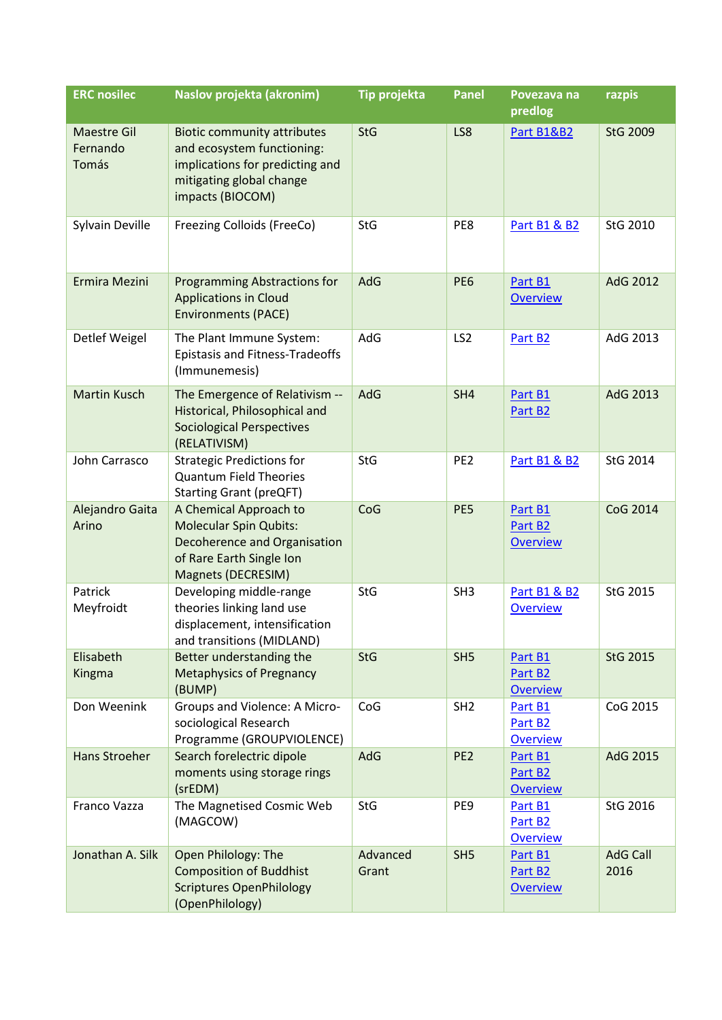| <b>ERC</b> nosilec                      | Naslov projekta (akronim)                                                                                                                           | <b>Tip projekta</b> | <b>Panel</b>    | Povezava na<br>predlog                            | razpis                  |
|-----------------------------------------|-----------------------------------------------------------------------------------------------------------------------------------------------------|---------------------|-----------------|---------------------------------------------------|-------------------------|
| <b>Maestre Gil</b><br>Fernando<br>Tomás | <b>Biotic community attributes</b><br>and ecosystem functioning:<br>implications for predicting and<br>mitigating global change<br>impacts (BIOCOM) | <b>StG</b>          | LS8             | Part B1&B2                                        | <b>StG 2009</b>         |
| Sylvain Deville                         | Freezing Colloids (FreeCo)                                                                                                                          | <b>StG</b>          | PE8             | <b>Part B1 &amp; B2</b>                           | StG 2010                |
| Ermira Mezini                           | <b>Programming Abstractions for</b><br><b>Applications in Cloud</b><br><b>Environments (PACE)</b>                                                   | AdG                 | PE <sub>6</sub> | Part B1<br><b>Overview</b>                        | AdG 2012                |
| Detlef Weigel                           | The Plant Immune System:<br><b>Epistasis and Fitness-Tradeoffs</b><br>(Immunemesis)                                                                 | AdG                 | LS <sub>2</sub> | Part B <sub>2</sub>                               | AdG 2013                |
| <b>Martin Kusch</b>                     | The Emergence of Relativism --<br>Historical, Philosophical and<br><b>Sociological Perspectives</b><br>(RELATIVISM)                                 | AdG                 | SH4             | Part B1<br>Part B <sub>2</sub>                    | AdG 2013                |
| John Carrasco                           | <b>Strategic Predictions for</b><br><b>Quantum Field Theories</b><br><b>Starting Grant (preQFT)</b>                                                 | <b>StG</b>          | PE <sub>2</sub> | <b>Part B1 &amp; B2</b>                           | StG 2014                |
| Alejandro Gaita<br>Arino                | A Chemical Approach to<br><b>Molecular Spin Qubits:</b><br>Decoherence and Organisation<br>of Rare Earth Single Ion<br>Magnets (DECRESIM)           | CoG                 | PE5             | Part B1<br>Part B <sub>2</sub><br><b>Overview</b> | CoG 2014                |
| Patrick<br>Meyfroidt                    | Developing middle-range<br>theories linking land use<br>displacement, intensification<br>and transitions (MIDLAND)                                  | <b>StG</b>          | SH <sub>3</sub> | <b>Part B1 &amp; B2</b><br><b>Overview</b>        | StG 2015                |
| Elisabeth<br>Kingma                     | Better understanding the<br><b>Metaphysics of Pregnancy</b><br>(BUMP)                                                                               | <b>StG</b>          | SH <sub>5</sub> | Part B1<br>Part B <sub>2</sub><br><b>Overview</b> | StG 2015                |
| Don Weenink                             | Groups and Violence: A Micro-<br>sociological Research<br>Programme (GROUPVIOLENCE)                                                                 | CoG                 | SH <sub>2</sub> | Part B1<br>Part B <sub>2</sub><br><b>Overview</b> | CoG 2015                |
| Hans Stroeher                           | Search forelectric dipole<br>moments using storage rings<br>(srEDM)                                                                                 | AdG                 | PE <sub>2</sub> | Part B1<br>Part B2<br><b>Overview</b>             | AdG 2015                |
| Franco Vazza                            | The Magnetised Cosmic Web<br>(MAGCOW)                                                                                                               | <b>StG</b>          | PE9             | Part B1<br>Part B <sub>2</sub><br><b>Overview</b> | StG 2016                |
| Jonathan A. Silk                        | Open Philology: The<br><b>Composition of Buddhist</b><br><b>Scriptures OpenPhilology</b><br>(OpenPhilology)                                         | Advanced<br>Grant   | SH <sub>5</sub> | Part B1<br>Part B <sub>2</sub><br><b>Overview</b> | <b>AdG Call</b><br>2016 |